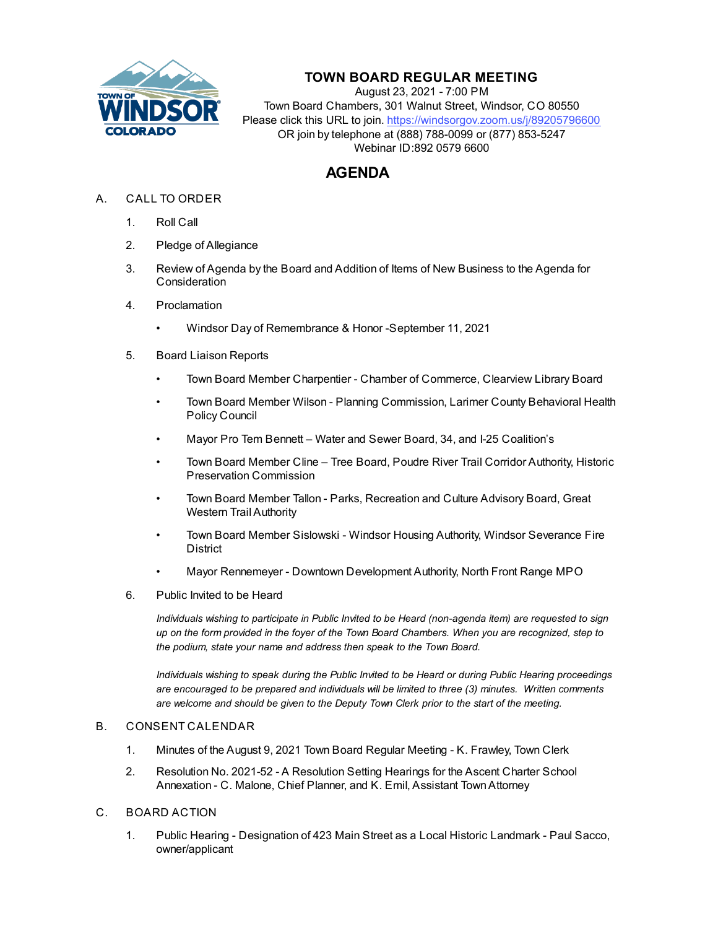

## **TOWN BOARD REGULAR MEETING**

August 23, 2021 - 7:00 PM Town Board Chambers, 301 Walnut Street, Windsor, CO 80550 Please click this URL to join. https://windsorgov.zoom.us/j/89205796600 OR join by telephone at (888) 788-0099 or (877) 853-5247 Webinar ID:892 0579 6600

# **AGENDA**

- A. CALL TO ORDER
	- 1. Roll Call
	- 2. Pledge of Allegiance
	- 3. Review of Agenda by the Board and Addition of Items of New Business to the Agenda for **Consideration**
	- 4. Proclamation
		- Windsor Day of Remembrance & Honor -September 11, 2021
	- 5. Board Liaison Reports
		- Town Board Member Charpentier Chamber of Commerce, Clearview Library Board
		- Town Board Member Wilson Planning Commission, Larimer County Behavioral Health Policy Council
		- Mayor Pro Tem Bennett Water and Sewer Board, 34, and I-25 Coalition's
		- Town Board Member Cline Tree Board, Poudre River Trail Corridor Authority, Historic Preservation Commission
		- Town Board Member Tallon Parks, Recreation and Culture Advisory Board, Great Western Trail Authority
		- Town Board Member Sislowski Windsor Housing Authority, Windsor Severance Fire **District**
		- Mayor Rennemeyer Downtown Development Authority, North Front Range MPO
	- 6. Public Invited to be Heard

*Individuals wishing to participate in Public Invited to be Heard (non-agenda item) are requested to sign up on the form provided in the foyer of the Town Board Chambers. When you are recognized, step to the podium, state your name and address then speak to the Town Board.*

*Individuals wishing to speak during the Public Invited to be Heard or during Public Hearing proceedings are encouraged to be prepared and individuals will be limited to three (3) minutes. Written comments are welcome and should be given to the Deputy Town Clerk prior to the start of the meeting.*

#### B. CONSENT CALENDAR

- 1. [Minutes of the August 9, 2021 Town Board Regular Meeting K. Frawley, Town Clerk](file:///C:/Windows/TEMP/CoverSheet.aspx?ItemID=1604&MeetingID=270)
- 2. [Resolution No. 2021-52 A Resolution Setting Hearings for the Ascent Charter School](file:///C:/Windows/TEMP/CoverSheet.aspx?ItemID=1612&MeetingID=270) Annexation - C. Malone, Chief Planner, and K. Emil, Assistant Town Attorney

### C. BOARD ACTION

1. [Public Hearing - Designation of 423 Main Street as a Local Historic Landmark - Paul Sacco,](file:///C:/Windows/TEMP/CoverSheet.aspx?ItemID=1601&MeetingID=270) owner/applicant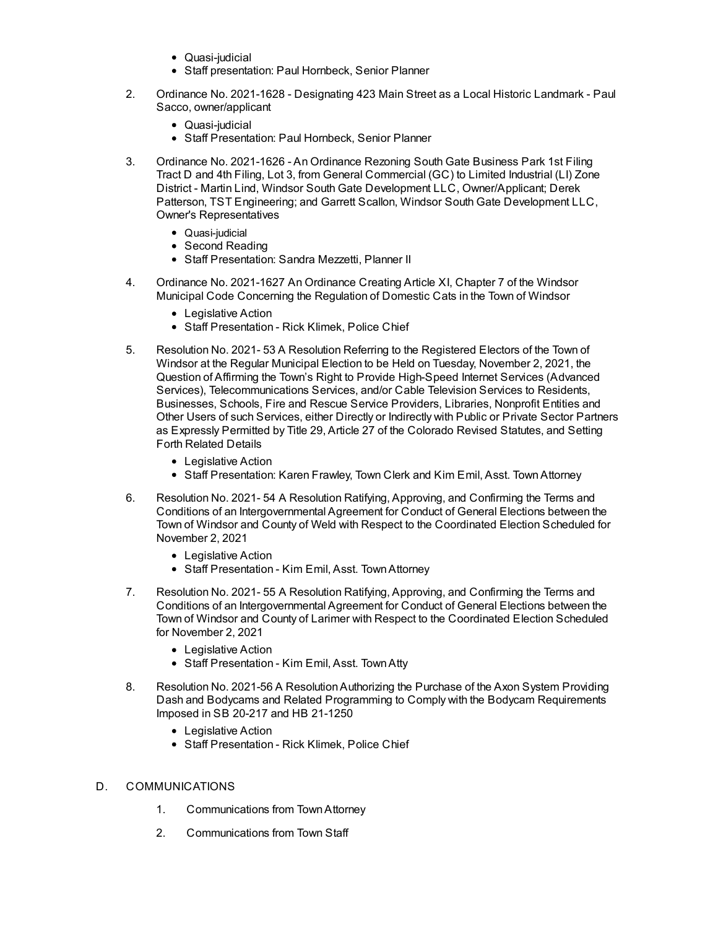- Quasi-judicial
- Staff presentation: Paul Hornbeck, Senior Planner
- 2. Ordinance No. 2021-1628 Designating 423 Main Street as a Local Historic Landmark Paul Sacco, [owner/applicant](file:///C:/Windows/TEMP/CoverSheet.aspx?ItemID=1602&MeetingID=270)
	- Quasi-judicial
	- Staff Presentation: Paul Hornbeck, Senior Planner
- 3. Ordinance No. 2021-1626 An Ordinance Rezoning South Gate Business Park 1st Filing Tract D and 4th Filing, Lot 3, from General Commercial (GC) to Limited Industrial (LI) Zone District - Martin Lind, Windsor South Gate Development LLC, [Owner/Applicant;](file:///C:/Windows/TEMP/CoverSheet.aspx?ItemID=1611&MeetingID=270) Derek Patterson, TST Engineering; and Garrett Scallon, Windsor South Gate Development LLC, Owner's Representatives
	- Quasi-judicial
	- Second Reading
	- Staff Presentation: Sandra Mezzetti, Planner II
- 4. Ordinance No. [2021-1627](file:///C:/Windows/TEMP/CoverSheet.aspx?ItemID=1609&MeetingID=270) An Ordinance Creating Article XI, Chapter 7 of the Windsor Municipal Code Concerning the Regulation of Domestic Cats in the Town of Windsor
	- Legislative Action
	- Staff Presentation Rick Klimek, Police Chief
- 5. Resolution No. 2021- 53 A Resolution Referring to the Registered Electors of the Town of Windsor at the Regular Municipal Election to be Held on Tuesday, November 2, 2021, the Question of Affirming the Town's Right to Provide High-Speed Internet Services (Advanced Services), [Telecommunications](file:///C:/Windows/TEMP/CoverSheet.aspx?ItemID=1605&MeetingID=270) Services, and/or Cable Television Services to Residents, Businesses, Schools, Fire and Rescue Service Providers, Libraries, Nonprofit Entities and Other Users of such Services, either Directly or Indirectly with Public or Private Sector Partners as Expressly Permitted by Title 29, Article 27 of the Colorado Revised Statutes, and Setting Forth Related Details
	- Legislative Action
	- Staff Presentation: Karen Frawley, Town Clerk and Kim Emil, Asst. Town Attorney
- 6. Resolution No. 2021- 54 A Resolution Ratifying, Approving, and Confirming the Terms and Conditions of an [Intergovernmental](file:///C:/Windows/TEMP/CoverSheet.aspx?ItemID=1606&MeetingID=270) Agreement for Conduct of General Elections between the Town of Windsor and County of Weld with Respect to the Coordinated Election Scheduled for November 2, 2021
	- Legislative Action
	- Staff Presentation Kim Emil, Asst. Town Attorney
- 7. Resolution No. 2021- 55 A Resolution Ratifying, Approving, and Confirming the Terms and Conditions of an [Intergovernmental](file:///C:/Windows/TEMP/CoverSheet.aspx?ItemID=1607&MeetingID=270) Agreement for Conduct of General Elections between the Town of Windsor and County of Larimer with Respect to the Coordinated Election Scheduled for November 2, 2021
	- Legislative Action
	- Staff Presentation Kim Emil, Asst. TownAtty
- 8. Resolution No. 2021-56 A [ResolutionAuthorizing](file:///C:/Windows/TEMP/CoverSheet.aspx?ItemID=1617&MeetingID=270) the Purchase of the Axon System Providing Dash and Bodycams and Related Programming to Comply with the Bodycam Requirements Imposed in SB 20-217 and HB 21-1250
	- Legislative Action
	- Staff Presentation Rick Klimek, Police Chief

#### D. COMMUNICATIONS

- 1. Communications from TownAttorney
- 2. Communications from Town Staff